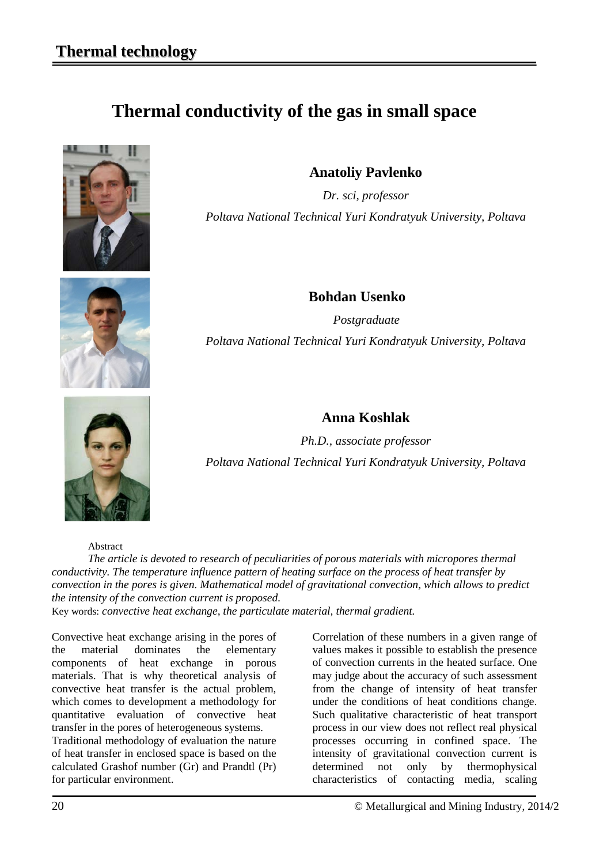## **Thermal conductivity of the gas in small space**



**Anatoliy Pavlenko**

*Dr. sci, professor Poltava National Technical Yuri Kondratyuk University, Poltava*



**Bohdan Usenko** 

 *Postgraduate Poltava National Technical Yuri Kondratyuk University, Poltava*

## **Anna Koshlak**

*Ph.D., associate professor Poltava National Technical Yuri Kondratyuk University, Poltava*

Abstract

*The article is devoted to research of peculiarities of porous materials with micropores thermal conductivity. The temperature influence pattern of heating surface on the process of heat transfer by convection in the pores is given. Mathematical model of gravitational convection, which allows to predict the intensity of the convection current is proposed.*  Key words: *convective heat exchange, the particulate material, thermal gradient.*

Convective heat exchange arising in the pores of the material dominates the elementary components of heat exchange in porous materials. That is why theoretical analysis of convective heat transfer is the actual problem, which comes to development a methodology for quantitative evaluation of convective heat transfer in the pores of heterogeneous systems. Traditional methodology of evaluation the nature of heat transfer in enclosed space is based on the calculated Grashof number (Gr) and Prandtl (Pr) for particular environment.

Correlation of these numbers in a given range of values makes it possible to establish the presence of convection currents in the heated surface. One may judge about the accuracy of such assessment from the change of intensity of heat transfer under the conditions of heat conditions change. Such qualitative characteristic of heat transport process in our view does not reflect real physical processes occurring in confined space. The intensity of gravitational convection current is determined not only by thermophysical characteristics of contacting media, scaling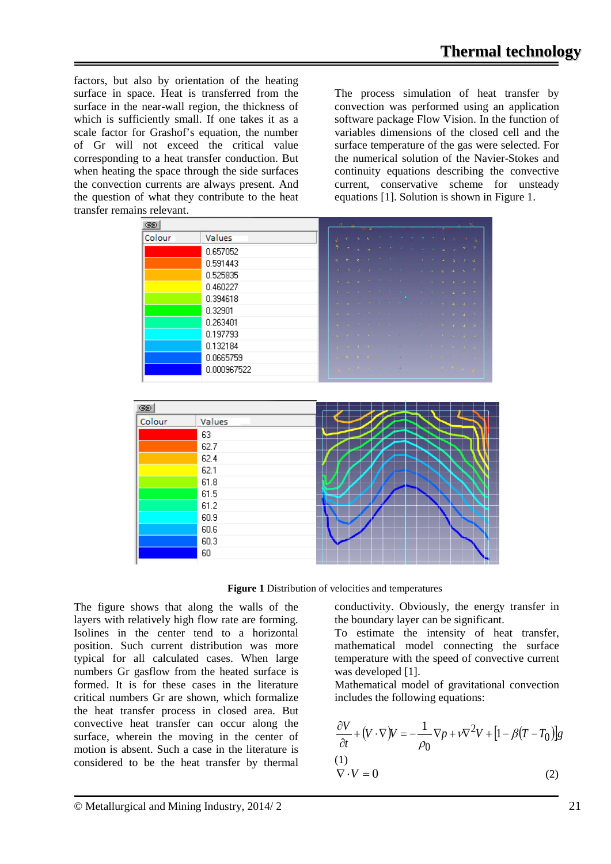factors, but also by orientation of the heating surface in space. Heat is transferred from the surface in the near-wall region, the thickness of which is sufficiently small. If one takes it as a scale factor for Grashof's equation, the number of Gr will not exceed the critical value corresponding to a heat transfer conduction. But when heating the space through the side surfaces the convection currents are always present. And the question of what they contribute to the heat transfer remains relevant.

The process simulation of heat transfer by convection was performed using an application software package Flow Vision. In the function of variables dimensions of the closed cell and the surface temperature of the gas were selected. For the numerical solution of the Navier-Stokes and continuity equations describing the convective current, conservative scheme for unsteady equations [1]. Solution is shown in Figure 1.

| Colour | Values      |  |                     |  |  |  |  | k. |
|--------|-------------|--|---------------------|--|--|--|--|----|
|        | 0.657052    |  |                     |  |  |  |  | 7  |
|        | 0.591443    |  |                     |  |  |  |  |    |
|        | 0.525835    |  |                     |  |  |  |  |    |
|        | 0.460227    |  |                     |  |  |  |  |    |
|        | 0.394618    |  |                     |  |  |  |  |    |
|        | 0.32901     |  |                     |  |  |  |  | в  |
|        | 0.263401    |  |                     |  |  |  |  |    |
|        | 0.197793    |  |                     |  |  |  |  | ×. |
|        | 0.132184    |  |                     |  |  |  |  |    |
|        | 0.0665759   |  |                     |  |  |  |  |    |
|        | 0.000967522 |  | <b>Sales Report</b> |  |  |  |  |    |
|        |             |  |                     |  |  |  |  |    |
| GD     |             |  |                     |  |  |  |  |    |
|        |             |  |                     |  |  |  |  |    |
|        | Values      |  |                     |  |  |  |  |    |
|        | 63          |  |                     |  |  |  |  |    |
|        | 62.7        |  |                     |  |  |  |  |    |
|        | 62.4        |  |                     |  |  |  |  |    |
|        | 62.1        |  |                     |  |  |  |  |    |
|        | 61.8        |  |                     |  |  |  |  |    |
|        | 61.5        |  |                     |  |  |  |  |    |
|        | 61.2        |  |                     |  |  |  |  |    |
|        | 60.9        |  |                     |  |  |  |  |    |
|        | 60.6        |  |                     |  |  |  |  |    |
|        | 60.3        |  |                     |  |  |  |  |    |
| Colour | 60          |  |                     |  |  |  |  |    |



The figure shows that along the walls of the layers with relatively high flow rate are forming. Isolines in the center tend to a horizontal position. Such current distribution was more typical for all calculated cases. When large numbers Gr gasflow from the heated surface is formed. It is for these cases in the literature critical numbers Gr are shown, which formalize the heat transfer process in closed area. But convective heat transfer can occur along the surface, wherein the moving in the center of motion is absent. Such a case in the literature is considered to be the heat transfer by thermal

conductivity. Obviously, the energy transfer in the boundary layer can be significant.

To estimate the intensity of heat transfer, mathematical model connecting the surface temperature with the speed of convective current was developed [1].

Mathematical model of gravitational convection includes the following equations:

$$
\frac{\partial V}{\partial t} + (V \cdot \nabla)V = -\frac{1}{\rho_0} \nabla p + v \nabla^2 V + [1 - \beta (T - T_0)]g
$$
  
(1)  

$$
\nabla \cdot V = 0
$$
 (2)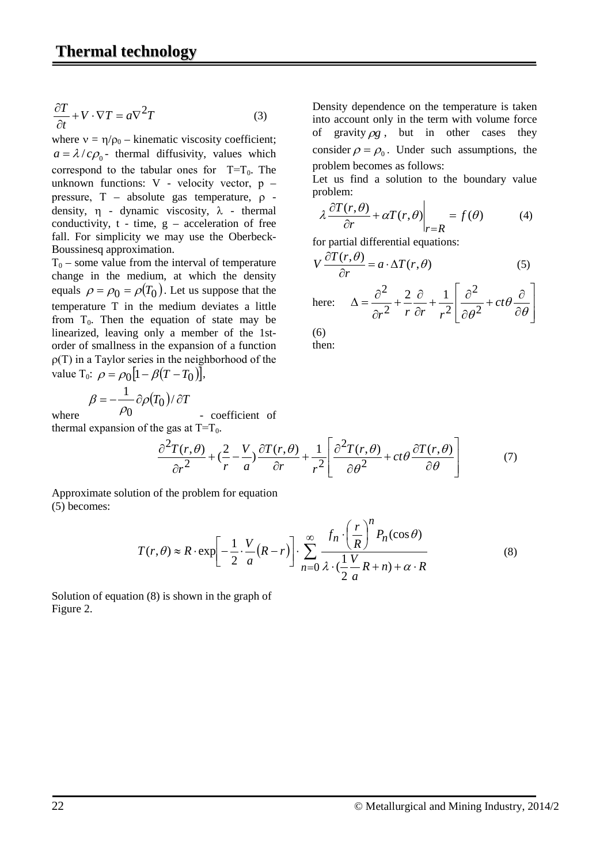$$
\frac{\partial T}{\partial t} + V \cdot \nabla T = a \nabla^2 T \tag{3}
$$

where  $v = \eta/\rho_0$  – kinematic viscosity coefficient;  $a = \lambda / c \rho_0$ - thermal diffusivity, values which correspond to the tabular ones for  $T=T_0$ . The unknown functions: V - velocity vector, р – pressure, Т – absolute gas temperature, ρ density,  $\eta$  - dynamic viscosity,  $\lambda$  - thermal conductivity,  $t - time$ ,  $g - acceleration$  of free fall. For simplicity we may use the Oberbeck-Boussinesq approximation.

 $T_0$  – some value from the interval of temperature change in the medium, at which the density equals  $\rho = \rho_0 = \rho(T_0)$ . Let us suppose that the temperature T in the medium deviates a little from  $T_0$ . Then the equation of state may be linearized, leaving only a member of the 1storder of smallness in the expansion of a function ρ(Т) in a Taylor series in the neighborhood of the value T<sub>0</sub>:  $\rho = \rho_0 \left[ 1 - \beta (T - T_0) \right]$ ,

$$
\beta = -\frac{1}{\rho_0} \partial \rho (T_0) / \partial T
$$

where - coefficient of thermal expansion of the gas at  $T=T_0$ .

Density dependence on the temperature is taken into account only in the term with volume force of gravity  $\rho g$ , but in other cases they consider  $\rho = \rho_0$ . Under such assumptions, the problem becomes as follows:

Let us find a solution to the boundary value problem:

$$
\lambda \frac{\partial T(r,\theta)}{\partial r} + \alpha T(r,\theta) \bigg|_{r=R} = f(\theta) \tag{4}
$$

for partial differential equations:

$$
V\frac{\partial T(r,\theta)}{\partial r} = a \cdot \Delta T(r,\theta) \tag{5}
$$

here: 
$$
\Delta = \frac{\partial^2}{\partial r^2} + \frac{2}{r} \frac{\partial}{\partial r} + \frac{1}{r^2} \left[ \frac{\partial^2}{\partial \theta^2} + ct \theta \frac{\partial}{\partial \theta} \right]
$$

(6) then:

 $\partial r^2$  r a  $\partial r$   $r^2$   $\partial \theta^2$   $\partial \theta$  $\cdot$  $\overline{\phantom{a}}$  $\overline{\phantom{a}}$  $\mathsf{I}$  $\mathsf{I}$ L  $\mathsf{I}$ ∂ +  $ct\theta \frac{\partial}{\partial t}$ ∂  $+\frac{1}{2}$  $\frac{\partial}{\partial}$ ∂  $+(-\frac{V}{c})\frac{\partial}{\partial z}$ ∂ ∂ θ  $\theta \frac{\partial T(r,\theta)}{\partial r}$ θ  $\frac{(r,\theta)}{r^2} + \left(\frac{2}{r} - \frac{V}{a}\right) \frac{\partial T(r,\theta)}{\partial r} + \frac{1}{r^2} \left[ \frac{\partial^2 T(r,\theta)}{\partial \theta^2} + ct \theta \frac{\partial T(r,\theta)}{\partial \theta} \right]$ 2 2 r a  $\partial r$   $r^2$  $\frac{2T(r,\theta)}{r^2} + \left(\frac{2}{r}-\frac{V}{r}\right)\frac{\partial T(r,\theta)}{\partial r} + \frac{1}{r^2}\left[\frac{\partial^2 T(r,\theta)}{\partial r^2} + ct\theta\frac{\partial T(r,\theta)}{\partial r^2}\right]$ *r r T r a V*  $r^2$  *r T r* (7)

Approximate solution of the problem for equation (5) becomes:

$$
T(r,\theta) \approx R \cdot \exp\left[-\frac{1}{2} \cdot \frac{V}{a}(R-r)\right] \cdot \sum_{n=0}^{\infty} \frac{f_n \cdot \left(\frac{r}{R}\right)^n P_n(\cos\theta)}{\lambda \cdot \left(\frac{1}{2} \frac{V}{a} R + n\right) + \alpha \cdot R}
$$
(8)

Solution of equation (8) is shown in the graph of Figure 2.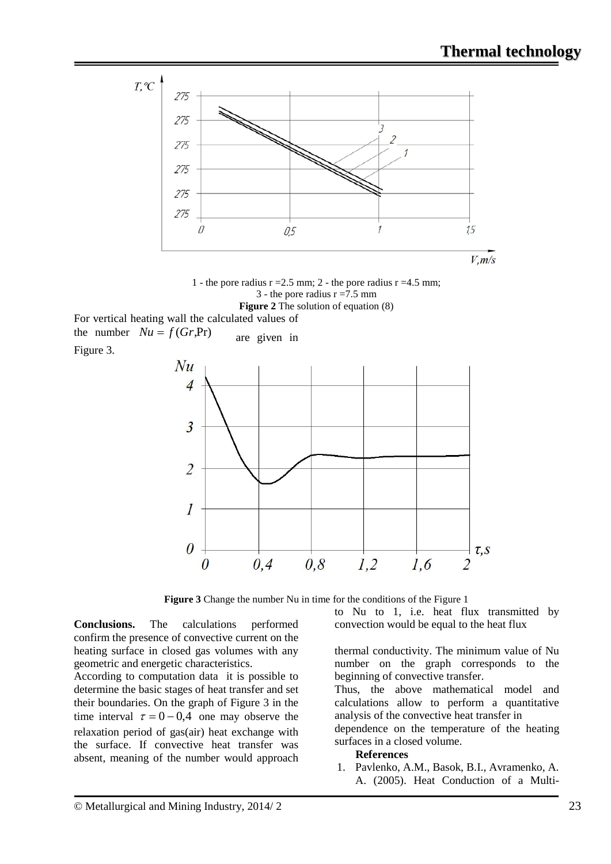

1 - the pore radius  $r = 2.5$  mm; 2 - the pore radius  $r = 4.5$  mm; 3 - the pore radius  $r = 7.5$  mm **Figure 2** The solution of equation (8)

For vertical heating wall the calculated values of the number  $Nu = f(Gr,Pr)$  are given in Figure 3.



**Figure 3** Change the number Nu in time for the conditions of the Figure 1

**Conclusions.** The calculations performed confirm the presence of convective current on the heating surface in closed gas volumes with any geometric and energetic characteristics.

According to computation data it is possible to determine the basic stages of heat transfer and set their boundaries. On the graph of Figure 3 in the time interval  $\tau = 0 - 0.4$  one may observe the relaxation period of gas(air) heat exchange with the surface. If convective heat transfer was absent, meaning of the number would approach to Nu to 1, i.e. heat flux transmitted by convection would be equal to the heat flux

thermal conductivity. The minimum value of Nu number on the graph corresponds to the beginning of convective transfer.

Thus, the above mathematical model and calculations allow to perform a quantitative analysis of the convective heat transfer in

dependence on the temperature of the heating surfaces in a closed volume.

## **References**

1. Pavlenko, A.M., Basok, B.I., Avramenko, A. A. (2005). Heat Conduction of a Multi